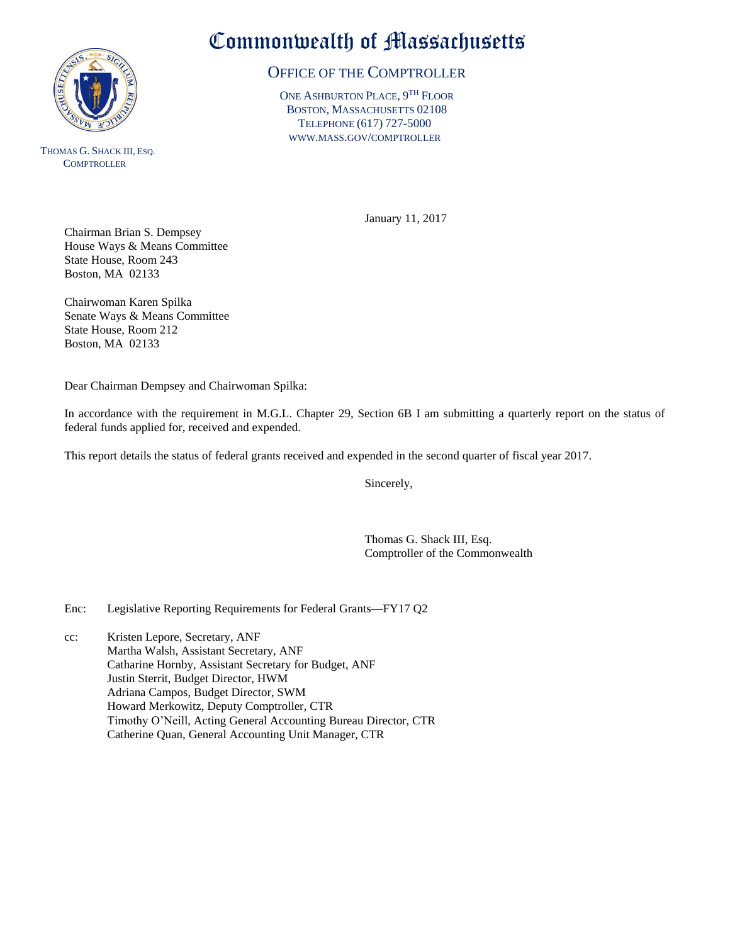

THOMAS G. SHACK III, ESQ. **COMPTROLLER** 

## Commonwealth of Massachusetts

## OFFICE OF THE COMPTROLLER

ONE ASHBURTON PLACE, 9<sup>TH</sup> FLOOR BOSTON, MASSACHUSETTS 02108 TELEPHONE (617) 727-5000 WWW.MASS.GOV/COMPTROLLER

January 11, 2017

Chairman Brian S. Dempsey House Ways & Means Committee State House, Room 243 Boston, MA 02133

Chairwoman Karen Spilka Senate Ways & Means Committee State House, Room 212 Boston, MA 02133

Dear Chairman Dempsey and Chairwoman Spilka:

In accordance with the requirement in M.G.L. Chapter 29, Section 6B I am submitting a quarterly report on the status of federal funds applied for, received and expended.

This report details the status of federal grants received and expended in the second quarter of fiscal year 2017.

Sincerely,

Thomas G. Shack III, Esq. Comptroller of the Commonwealth

Enc: Legislative Reporting Requirements for Federal Grants—FY17 Q2

cc: Kristen Lepore, Secretary, ANF Martha Walsh, Assistant Secretary, ANF Catharine Hornby, Assistant Secretary for Budget, ANF Justin Sterrit, Budget Director, HWM Adriana Campos, Budget Director, SWM Howard Merkowitz, Deputy Comptroller, CTR Timothy O'Neill, Acting General Accounting Bureau Director, CTR Catherine Quan, General Accounting Unit Manager, CTR